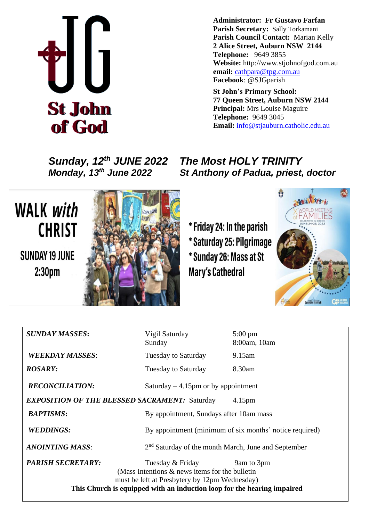

**Administrator: Fr Gustavo Farfan Parish Secretary:** Sally Torkamani **Parish Council Contact:** Marian Kelly **2 Alice Street, Auburn NSW 2144 Telephone:** 9649 3855 **Website:** http://www.stjohnofgod.com.au **email:** [cathpara@tpg.com.au](mailto:cathpara@tpg.com.au)  **Facebook**: @SJGparish

**St John's Primary School: 77 Queen Street, Auburn NSW 2144 Principal:** Mrs Louise Maguire **Telephone:** 9649 3045 **Email:** [info@stjauburn.catholic.edu.au](mailto:info@stjauburn.catholic.edu.au)

*Monday, 13th June 2022 St Anthony of Padua, priest, doctor*

*Sunday, 12th JUNE 2022 The Most HOLY TRINITY* 

# **WALK** with **CHRIST**

**SUNDAY 19 JUNE** 2:30pm



\* Friday 24: In the parish \* Saturday 25: Pilgrimage \* Sunday 26: Mass at St **Mary's Cathedral** 



| <b>SUNDAY MASSES:</b>                                                                                                                                                                                                                       | Vigil Saturday<br>Sunday                                | $5:00 \text{ pm}$<br>8:00am, 10am |  |  |
|---------------------------------------------------------------------------------------------------------------------------------------------------------------------------------------------------------------------------------------------|---------------------------------------------------------|-----------------------------------|--|--|
| <b>WEEKDAY MASSES:</b>                                                                                                                                                                                                                      | <b>Tuesday to Saturday</b>                              | 9.15 am                           |  |  |
| <b>ROSARY:</b>                                                                                                                                                                                                                              | Tuesday to Saturday                                     | 8.30am                            |  |  |
| <b>RECONCILIATION:</b><br>Saturday $-4.15$ pm or by appointment                                                                                                                                                                             |                                                         |                                   |  |  |
| <b>EXPOSITION OF THE BLESSED SACRAMENT: Saturday</b><br>4.15 <sub>pm</sub>                                                                                                                                                                  |                                                         |                                   |  |  |
| <b>BAPTISMS:</b>                                                                                                                                                                                                                            | By appointment, Sundays after 10am mass                 |                                   |  |  |
| <b>WEDDINGS:</b>                                                                                                                                                                                                                            | By appointment (minimum of six months' notice required) |                                   |  |  |
| <b>ANOINTING MASS:</b>                                                                                                                                                                                                                      | $2nd$ Saturday of the month March, June and September   |                                   |  |  |
| <b>PARISH SECRETARY:</b><br>Tuesday & Friday<br>9am to 3pm<br>(Mass Intentions $\&$ news items for the bulletin<br>must be left at Presbytery by 12pm Wednesday)<br>This Church is equipped with an induction loop for the hearing impaired |                                                         |                                   |  |  |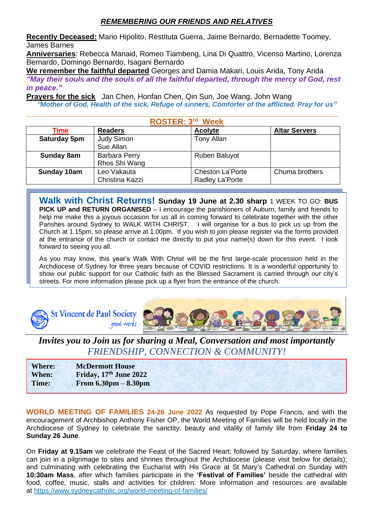#### *REMEMBERING OUR FRIENDS AND RELATIVES*

**Recently Deceased:** Mario Hipolito, Restituta Guerra, Jaime Bernardo, Bernadette Toomey, James Barnes

**Anniversaries**: Rebecca Manaid, Romeo Tiambeng, Lina Di Quattro, Vicenso Martino, Lorenza Bernardo, Domingo Bernardo, Isagani Bernardo

**We remember the faithful departed** Georges and Damia Makari, Louis Arida, Tony Arida *"May their souls and the souls of all the faithful departed, through the mercy of God, rest in peace."*

**Prayers for the sick** Jan Chen, Honfan Chen, Qin Sun, Joe Wang, John Wang *"Mother of God, Health of the sick, Refuge of sinners, Comforter of the afflicted. Pray for us"*

|              | <b>ROSTER: 3rd Week</b>               |                                            |                      |  |  |  |
|--------------|---------------------------------------|--------------------------------------------|----------------------|--|--|--|
| Time         | <b>Readers</b>                        | <b>Acolyte</b>                             | <b>Altar Servers</b> |  |  |  |
| Saturday 5pm | <b>Judy Simon</b><br>Sue Allan        | Tony Allan                                 |                      |  |  |  |
| Sunday 8am   | <b>Barbara Perry</b><br>Rhos Shi Wang | <b>Ruben Baluyot</b>                       |                      |  |  |  |
| Sunday 10am  | Leo Vakauta<br>Christina Kazzi        | <b>Cheston La'Porte</b><br>Radley La'Porte | Chuma brothers       |  |  |  |

**Walk with Christ Returns! Sunday 19 June at 2.30 sharp** 1 WEEK TO GO: **BUS PICK UP and RETURN ORGANISED** – I encourage the parishioners of Auburn, family and friends to help me make this a joyous occasion for us all in coming forward to celebrate together with the other Parishes around Sydney to WALK WITH CHRIST. I will organise for a bus to pick us up from the Church at 1.15pm, so please arrive at 1.00pm. If you wish to join please register via the forms provided at the entrance of the church or contact me directly to put your name(s) down for this event. I look forward to seeing you all.

As you may know, this year's Walk With Christ will be the first large-scale procession held in the Archdiocese of Sydney for three years because of COVID restrictions. It is a wonderful opportunity to show our public support for our Catholic faith as the Blessed Sacrament is carried through our city's streets. For more information please pick up a flyer from the entrance of the church.



*Invites you to Join us for sharing a Meal, Conversation and most importantly FRIENDSHIP, CONNECTION & COMMUNITY!*

| <b>Where:</b> | <b>McDermott House</b>                 |  |
|---------------|----------------------------------------|--|
| When:         | Friday, $17th$ June 2022               |  |
| Time:         | From $6.30 \text{pm} - 8.30 \text{pm}$ |  |
|               |                                        |  |

**WORLD MEETING OF FAMILIES 24-26 June 2022** As requested by Pope Francis, and with the encouragement of Archbishop Anthony Fisher OP, the World Meeting of Families will be held locally in the Archdiocese of Sydney to celebrate the sanctity, beauty and vitality of family life from **Friday 24 to Sunday 26 June**.

On **Friday at 9.15am** we celebrate the Feast of the Sacred Heart; followed by Saturday, where families can join in a pilgrimage to sites and shrines throughout the Archdiocese (please visit below for details); and culminating with celebrating the Eucharist with His Grace at St Mary's Cathedral on Sunday with **10:30am Mass**, after which families participate in the **'Festival of Families'** beside the cathedral with food, coffee, music, stalls and activities for children. More information and resources are available at [https://www.sydneycatholic.org/world-meeting-of-families/](https://comms.sydneycatholic.org/ch/75218/bqpf0/2219776/5iE3jxMyJN1XQZAePltw9JuugHhffuKAs5lO9sHZ.html)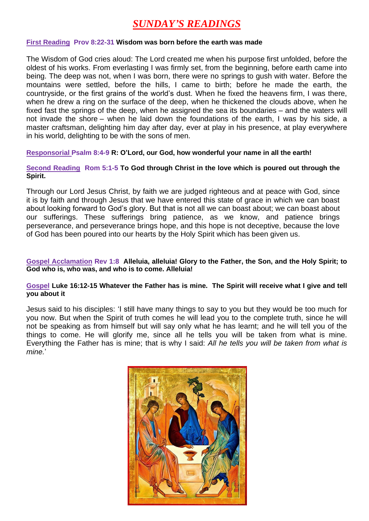### *SUNDAY'S READINGS*

#### **First Reading Prov 8:22-31 Wisdom was born before the earth was made**

The Wisdom of God cries aloud: The Lord created me when his purpose first unfolded, before the oldest of his works. From everlasting I was firmly set, from the beginning, before earth came into being. The deep was not, when I was born, there were no springs to gush with water. Before the mountains were settled, before the hills, I came to birth; before he made the earth, the countryside, or the first grains of the world's dust. When he fixed the heavens firm, I was there, when he drew a ring on the surface of the deep, when he thickened the clouds above, when he fixed fast the springs of the deep, when he assigned the sea its boundaries – and the waters will not invade the shore – when he laid down the foundations of the earth, I was by his side, a master craftsman, delighting him day after day, ever at play in his presence, at play everywhere in his world, delighting to be with the sons of men.

**Responsorial Psalm 8:4-9 R: O'Lord, our God, how wonderful your name in all the earth!**

**Second Reading Rom 5:1-5 To God through Christ in the love which is poured out through the Spirit.**

Through our Lord Jesus Christ, by faith we are judged righteous and at peace with God, since it is by faith and through Jesus that we have entered this state of grace in which we can boast about looking forward to God's glory. But that is not all we can boast about; we can boast about our sufferings. These sufferings bring patience, as we know, and patience brings perseverance, and perseverance brings hope, and this hope is not deceptive, because the love of God has been poured into our hearts by the Holy Spirit which has been given us.

**Gospel Acclamation Rev 1:8 Alleluia, alleluia! Glory to the Father, the Son, and the Holy Spirit; to God who is, who was, and who is to come. Alleluia!**

#### **Gospel Luke 16:12-15 Whatever the Father has is mine. The Spirit will receive what I give and tell you about it**

Jesus said to his disciples: 'I still have many things to say to you but they would be too much for you now. But when the Spirit of truth comes he will lead you to the complete truth, since he will not be speaking as from himself but will say only what he has learnt; and he will tell you of the things to come. He will glorify me, since all he tells you will be taken from what is mine. Everything the Father has is mine; that is why I said: *All he tells you will be taken from what is mine.*'